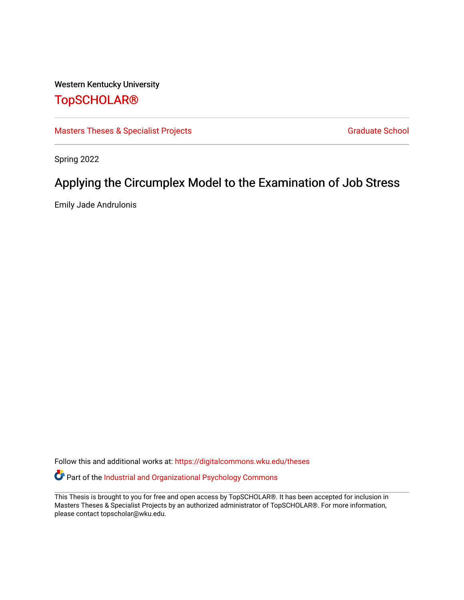# Western Kentucky University

# [TopSCHOLAR®](https://digitalcommons.wku.edu/)

[Masters Theses & Specialist Projects](https://digitalcommons.wku.edu/theses) [Graduate School](https://digitalcommons.wku.edu/Graduate) Graduate School

Spring 2022

# Applying the Circumplex Model to the Examination of Job Stress

Emily Jade Andrulonis

Follow this and additional works at: [https://digitalcommons.wku.edu/theses](https://digitalcommons.wku.edu/theses?utm_source=digitalcommons.wku.edu%2Ftheses%2F3550&utm_medium=PDF&utm_campaign=PDFCoverPages) 

Part of the [Industrial and Organizational Psychology Commons](http://network.bepress.com/hgg/discipline/412?utm_source=digitalcommons.wku.edu%2Ftheses%2F3550&utm_medium=PDF&utm_campaign=PDFCoverPages) 

This Thesis is brought to you for free and open access by TopSCHOLAR®. It has been accepted for inclusion in Masters Theses & Specialist Projects by an authorized administrator of TopSCHOLAR®. For more information, please contact topscholar@wku.edu.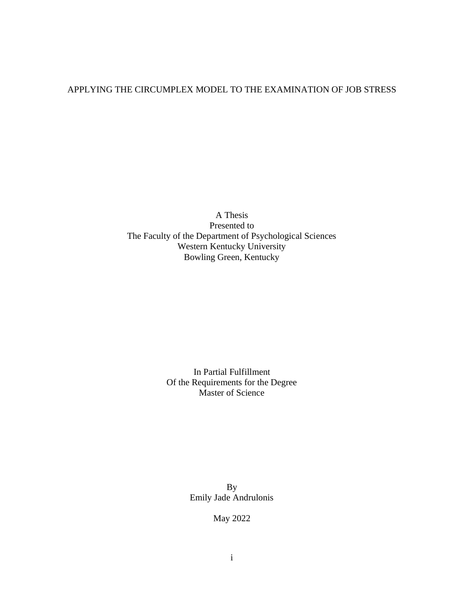# APPLYING THE CIRCUMPLEX MODEL TO THE EXAMINATION OF JOB STRESS

A Thesis Presented to The Faculty of the Department of Psychological Sciences Western Kentucky University Bowling Green, Kentucky

> In Partial Fulfillment Of the Requirements for the Degree Master of Science

> > By Emily Jade Andrulonis

> > > May 2022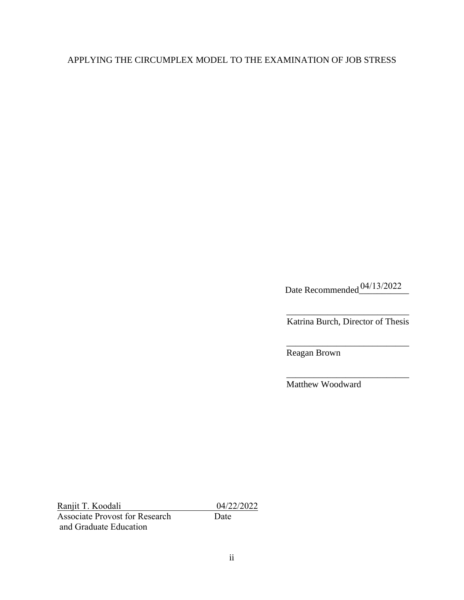# APPLYING THE CIRCUMPLEX MODEL TO THE EXAMINATION OF JOB STRESS

Date Recommended<sup>04/13/2022</sup>

\_\_\_\_\_\_\_\_\_\_\_\_\_\_\_\_\_\_\_\_\_\_\_\_\_\_\_ Katrina Burch, Director of Thesis

\_\_\_\_\_\_\_\_\_\_\_\_\_\_\_\_\_\_\_\_\_\_\_\_\_\_\_

\_\_\_\_\_\_\_\_\_\_\_\_\_\_\_\_\_\_\_\_\_\_\_\_\_\_\_

Reagan Brown

Matthew Woodward

Ranjit T. Koodali 04/22/2022<br>Associate Provost for Research Date Associate Provost for Research and Graduate Education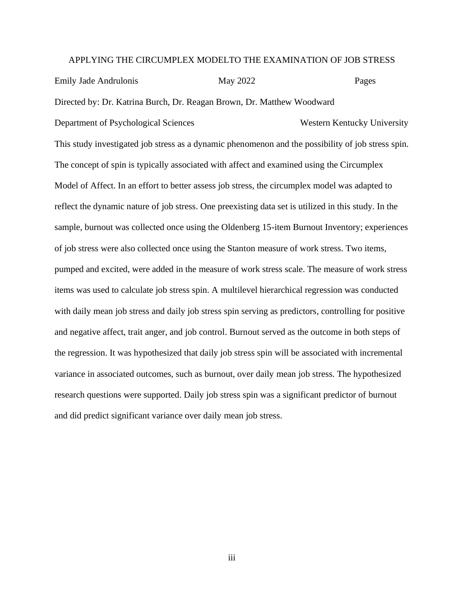### APPLYING THE CIRCUMPLEX MODELTO THE EXAMINATION OF JOB STRESS

Emily Jade Andrulonis May 2022 Pages Directed by: Dr. Katrina Burch, Dr. Reagan Brown, Dr. Matthew Woodward Department of Psychological Sciences Western Kentucky University This study investigated job stress as a dynamic phenomenon and the possibility of job stress spin. The concept of spin is typically associated with affect and examined using the Circumplex Model of Affect. In an effort to better assess job stress, the circumplex model was adapted to reflect the dynamic nature of job stress. One preexisting data set is utilized in this study. In the sample, burnout was collected once using the Oldenberg 15-item Burnout Inventory; experiences of job stress were also collected once using the Stanton measure of work stress. Two items, pumped and excited, were added in the measure of work stress scale. The measure of work stress items was used to calculate job stress spin. A multilevel hierarchical regression was conducted with daily mean job stress and daily job stress spin serving as predictors, controlling for positive and negative affect, trait anger, and job control. Burnout served as the outcome in both steps of the regression. It was hypothesized that daily job stress spin will be associated with incremental variance in associated outcomes, such as burnout, over daily mean job stress. The hypothesized research questions were supported. Daily job stress spin was a significant predictor of burnout and did predict significant variance over daily mean job stress.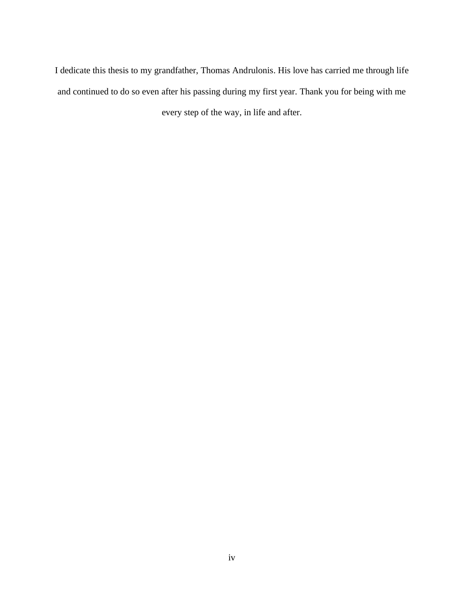I dedicate this thesis to my grandfather, Thomas Andrulonis. His love has carried me through life and continued to do so even after his passing during my first year. Thank you for being with me every step of the way, in life and after.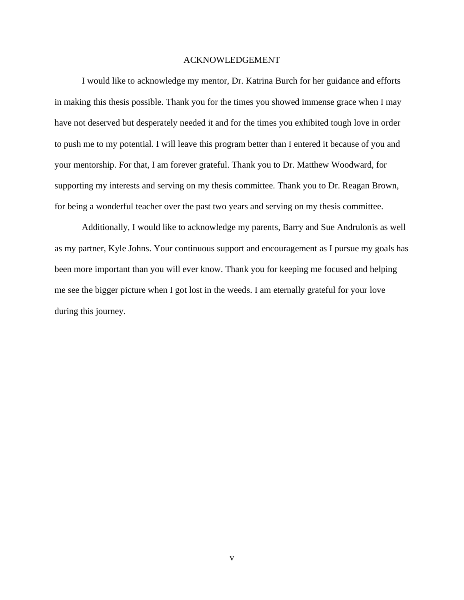## ACKNOWLEDGEMENT

I would like to acknowledge my mentor, Dr. Katrina Burch for her guidance and efforts in making this thesis possible. Thank you for the times you showed immense grace when I may have not deserved but desperately needed it and for the times you exhibited tough love in order to push me to my potential. I will leave this program better than I entered it because of you and your mentorship. For that, I am forever grateful. Thank you to Dr. Matthew Woodward, for supporting my interests and serving on my thesis committee. Thank you to Dr. Reagan Brown, for being a wonderful teacher over the past two years and serving on my thesis committee.

Additionally, I would like to acknowledge my parents, Barry and Sue Andrulonis as well as my partner, Kyle Johns. Your continuous support and encouragement as I pursue my goals has been more important than you will ever know. Thank you for keeping me focused and helping me see the bigger picture when I got lost in the weeds. I am eternally grateful for your love during this journey.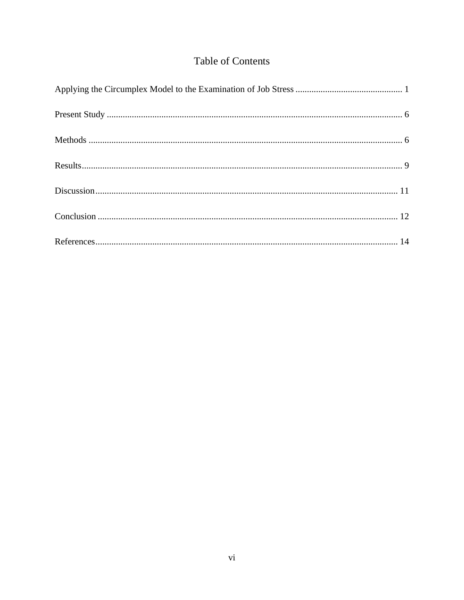# Table of Contents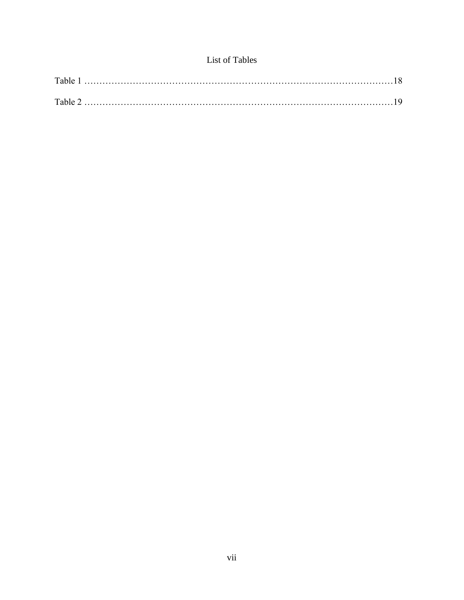# List of Tables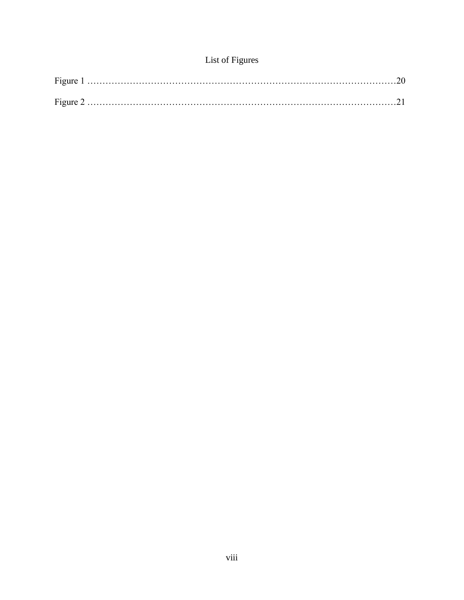# List of Figures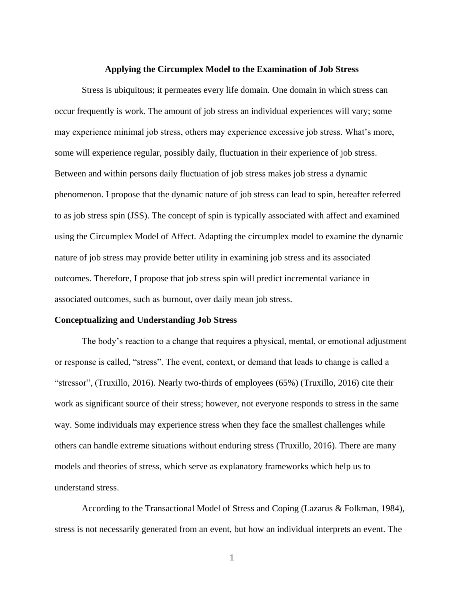### **Applying the Circumplex Model to the Examination of Job Stress**

<span id="page-9-0"></span>Stress is ubiquitous; it permeates every life domain. One domain in which stress can occur frequently is work. The amount of job stress an individual experiences will vary; some may experience minimal job stress, others may experience excessive job stress. What's more, some will experience regular, possibly daily, fluctuation in their experience of job stress. Between and within persons daily fluctuation of job stress makes job stress a dynamic phenomenon. I propose that the dynamic nature of job stress can lead to spin, hereafter referred to as job stress spin (JSS). The concept of spin is typically associated with affect and examined using the Circumplex Model of Affect. Adapting the circumplex model to examine the dynamic nature of job stress may provide better utility in examining job stress and its associated outcomes. Therefore, I propose that job stress spin will predict incremental variance in associated outcomes, such as burnout, over daily mean job stress.

#### **Conceptualizing and Understanding Job Stress**

The body's reaction to a change that requires a physical, mental, or emotional adjustment or response is called, "stress". The event, context, or demand that leads to change is called a "stressor", (Truxillo, 2016). Nearly two-thirds of employees (65%) (Truxillo, 2016) cite their work as significant source of their stress; however, not everyone responds to stress in the same way. Some individuals may experience stress when they face the smallest challenges while others can handle extreme situations without enduring stress (Truxillo, 2016). There are many models and theories of stress, which serve as explanatory frameworks which help us to understand stress.

According to the Transactional Model of Stress and Coping (Lazarus & Folkman, 1984), stress is not necessarily generated from an event, but how an individual interprets an event. The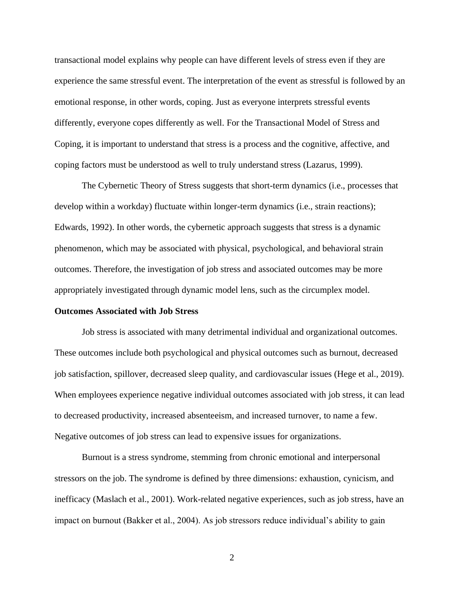transactional model explains why people can have different levels of stress even if they are experience the same stressful event. The interpretation of the event as stressful is followed by an emotional response, in other words, coping. Just as everyone interprets stressful events differently, everyone copes differently as well. For the Transactional Model of Stress and Coping, it is important to understand that stress is a process and the cognitive, affective, and coping factors must be understood as well to truly understand stress (Lazarus, 1999).

The Cybernetic Theory of Stress suggests that short-term dynamics (i.e., processes that develop within a workday) fluctuate within longer-term dynamics (i.e., strain reactions); Edwards, 1992). In other words, the cybernetic approach suggests that stress is a dynamic phenomenon, which may be associated with physical, psychological, and behavioral strain outcomes. Therefore, the investigation of job stress and associated outcomes may be more appropriately investigated through dynamic model lens, such as the circumplex model.

#### **Outcomes Associated with Job Stress**

Job stress is associated with many detrimental individual and organizational outcomes. These outcomes include both psychological and physical outcomes such as burnout, decreased job satisfaction, spillover, decreased sleep quality, and cardiovascular issues (Hege et al., 2019). When employees experience negative individual outcomes associated with job stress, it can lead to decreased productivity, increased absenteeism, and increased turnover, to name a few. Negative outcomes of job stress can lead to expensive issues for organizations.

Burnout is a stress syndrome, stemming from chronic emotional and interpersonal stressors on the job. The syndrome is defined by three dimensions: exhaustion, cynicism, and inefficacy (Maslach et al., 2001). Work-related negative experiences, such as job stress, have an impact on burnout (Bakker et al., 2004). As job stressors reduce individual's ability to gain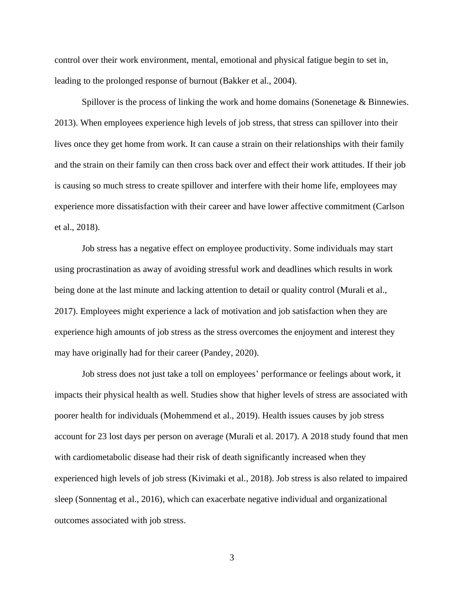control over their work environment, mental, emotional and physical fatigue begin to set in, leading to the prolonged response of burnout (Bakker et al., 2004).

Spillover is the process of linking the work and home domains (Sonenetage & Binnewies. 2013). When employees experience high levels of job stress, that stress can spillover into their lives once they get home from work. It can cause a strain on their relationships with their family and the strain on their family can then cross back over and effect their work attitudes. If their job is causing so much stress to create spillover and interfere with their home life, employees may experience more dissatisfaction with their career and have lower affective commitment (Carlson et al., 2018).

Job stress has a negative effect on employee productivity. Some individuals may start using procrastination as away of avoiding stressful work and deadlines which results in work being done at the last minute and lacking attention to detail or quality control (Murali et al., 2017). Employees might experience a lack of motivation and job satisfaction when they are experience high amounts of job stress as the stress overcomes the enjoyment and interest they may have originally had for their career (Pandey, 2020).

Job stress does not just take a toll on employees' performance or feelings about work, it impacts their physical health as well. Studies show that higher levels of stress are associated with poorer health for individuals (Mohemmend et al., 2019). Health issues causes by job stress account for 23 lost days per person on average (Murali et al. 2017). A 2018 study found that men with cardiometabolic disease had their risk of death significantly increased when they experienced high levels of job stress (Kivimaki et al., 2018). Job stress is also related to impaired sleep (Sonnentag et al., 2016), which can exacerbate negative individual and organizational outcomes associated with job stress.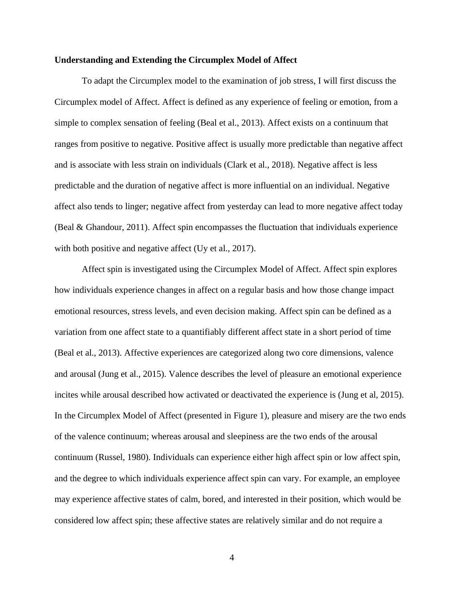# **Understanding and Extending the Circumplex Model of Affect**

To adapt the Circumplex model to the examination of job stress, I will first discuss the Circumplex model of Affect. Affect is defined as any experience of feeling or emotion, from a simple to complex sensation of feeling (Beal et al., 2013). Affect exists on a continuum that ranges from positive to negative. Positive affect is usually more predictable than negative affect and is associate with less strain on individuals (Clark et al., 2018). Negative affect is less predictable and the duration of negative affect is more influential on an individual. Negative affect also tends to linger; negative affect from yesterday can lead to more negative affect today (Beal & Ghandour, 2011). Affect spin encompasses the fluctuation that individuals experience with both positive and negative affect (Uy et al., 2017).

Affect spin is investigated using the Circumplex Model of Affect. Affect spin explores how individuals experience changes in affect on a regular basis and how those change impact emotional resources, stress levels, and even decision making. Affect spin can be defined as a variation from one affect state to a quantifiably different affect state in a short period of time (Beal et al., 2013). Affective experiences are categorized along two core dimensions, valence and arousal (Jung et al., 2015). Valence describes the level of pleasure an emotional experience incites while arousal described how activated or deactivated the experience is (Jung et al, 2015). In the Circumplex Model of Affect (presented in Figure 1), pleasure and misery are the two ends of the valence continuum; whereas arousal and sleepiness are the two ends of the arousal continuum (Russel, 1980). Individuals can experience either high affect spin or low affect spin, and the degree to which individuals experience affect spin can vary. For example, an employee may experience affective states of calm, bored, and interested in their position, which would be considered low affect spin; these affective states are relatively similar and do not require a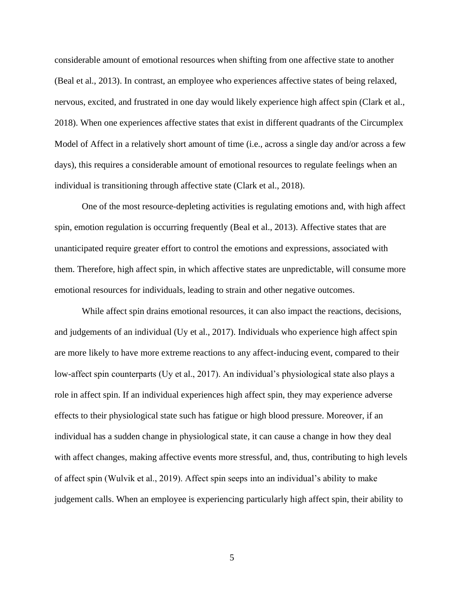considerable amount of emotional resources when shifting from one affective state to another (Beal et al., 2013). In contrast, an employee who experiences affective states of being relaxed, nervous, excited, and frustrated in one day would likely experience high affect spin (Clark et al., 2018). When one experiences affective states that exist in different quadrants of the Circumplex Model of Affect in a relatively short amount of time (i.e., across a single day and/or across a few days), this requires a considerable amount of emotional resources to regulate feelings when an individual is transitioning through affective state (Clark et al., 2018).

One of the most resource-depleting activities is regulating emotions and, with high affect spin, emotion regulation is occurring frequently (Beal et al., 2013). Affective states that are unanticipated require greater effort to control the emotions and expressions, associated with them. Therefore, high affect spin, in which affective states are unpredictable, will consume more emotional resources for individuals, leading to strain and other negative outcomes.

While affect spin drains emotional resources, it can also impact the reactions, decisions, and judgements of an individual (Uy et al., 2017). Individuals who experience high affect spin are more likely to have more extreme reactions to any affect-inducing event, compared to their low-affect spin counterparts (Uy et al., 2017). An individual's physiological state also plays a role in affect spin. If an individual experiences high affect spin, they may experience adverse effects to their physiological state such has fatigue or high blood pressure. Moreover, if an individual has a sudden change in physiological state, it can cause a change in how they deal with affect changes, making affective events more stressful, and, thus, contributing to high levels of affect spin (Wulvik et al., 2019). Affect spin seeps into an individual's ability to make judgement calls. When an employee is experiencing particularly high affect spin, their ability to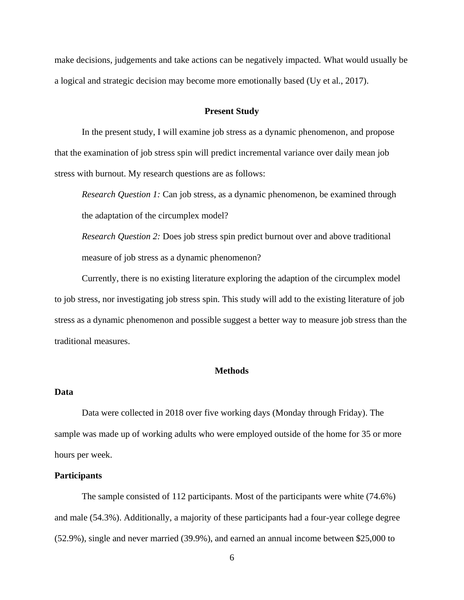make decisions, judgements and take actions can be negatively impacted. What would usually be a logical and strategic decision may become more emotionally based (Uy et al., 2017).

### **Present Study**

<span id="page-14-0"></span>In the present study, I will examine job stress as a dynamic phenomenon, and propose that the examination of job stress spin will predict incremental variance over daily mean job stress with burnout. My research questions are as follows:

*Research Question 1:* Can job stress, as a dynamic phenomenon, be examined through the adaptation of the circumplex model?

*Research Question 2:* Does job stress spin predict burnout over and above traditional measure of job stress as a dynamic phenomenon?

Currently, there is no existing literature exploring the adaption of the circumplex model to job stress, nor investigating job stress spin. This study will add to the existing literature of job stress as a dynamic phenomenon and possible suggest a better way to measure job stress than the traditional measures.

# **Methods**

# <span id="page-14-1"></span>**Data**

Data were collected in 2018 over five working days (Monday through Friday). The sample was made up of working adults who were employed outside of the home for 35 or more hours per week.

# **Participants**

The sample consisted of 112 participants. Most of the participants were white (74.6%) and male (54.3%). Additionally, a majority of these participants had a four-year college degree (52.9%), single and never married (39.9%), and earned an annual income between \$25,000 to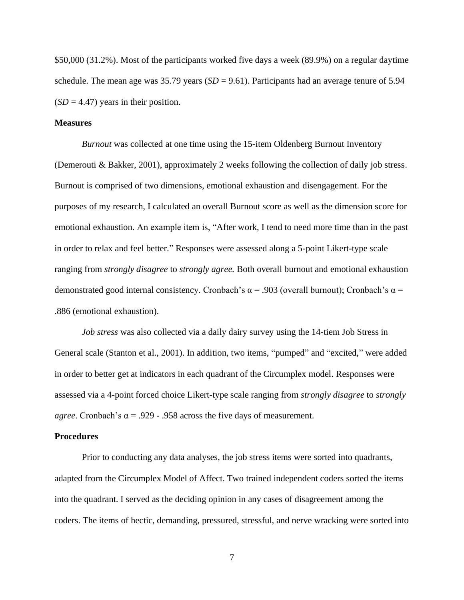\$50,000 (31.2%). Most of the participants worked five days a week (89.9%) on a regular daytime schedule. The mean age was 35.79 years (*SD* = 9.61). Participants had an average tenure of 5.94  $(SD = 4.47)$  years in their position.

# **Measures**

*Burnout* was collected at one time using the 15-item Oldenberg Burnout Inventory (Demerouti & Bakker, 2001), approximately 2 weeks following the collection of daily job stress. Burnout is comprised of two dimensions, emotional exhaustion and disengagement. For the purposes of my research, I calculated an overall Burnout score as well as the dimension score for emotional exhaustion. An example item is, "After work, I tend to need more time than in the past in order to relax and feel better." Responses were assessed along a 5-point Likert-type scale ranging from *strongly disagree* to *strongly agree.* Both overall burnout and emotional exhaustion demonstrated good internal consistency. Cronbach's  $\alpha$  = .903 (overall burnout); Cronbach's  $\alpha$  = .886 (emotional exhaustion).

*Job stress* was also collected via a daily dairy survey using the 14-tiem Job Stress in General scale (Stanton et al., 2001). In addition, two items, "pumped" and "excited," were added in order to better get at indicators in each quadrant of the Circumplex model. Responses were assessed via a 4-point forced choice Likert-type scale ranging from *strongly disagree* to *strongly agree*. Cronbach's  $\alpha$  = .929 - .958 across the five days of measurement.

# **Procedures**

Prior to conducting any data analyses, the job stress items were sorted into quadrants, adapted from the Circumplex Model of Affect. Two trained independent coders sorted the items into the quadrant. I served as the deciding opinion in any cases of disagreement among the coders. The items of hectic, demanding, pressured, stressful, and nerve wracking were sorted into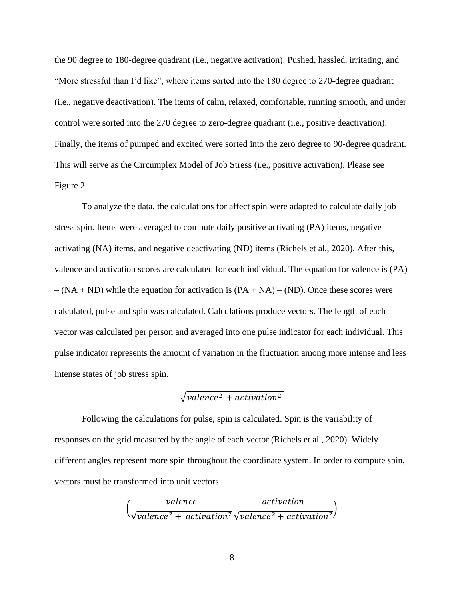the 90 degree to 180-degree quadrant (i.e., negative activation). Pushed, hassled, irritating, and "More stressful than I'd like", where items sorted into the 180 degree to 270-degree quadrant (i.e., negative deactivation). The items of calm, relaxed, comfortable, running smooth, and under control were sorted into the 270 degree to zero-degree quadrant (i.e., positive deactivation). Finally, the items of pumped and excited were sorted into the zero degree to 90-degree quadrant. This will serve as the Circumplex Model of Job Stress (i.e., positive activation). Please see Figure 2.

To analyze the data, the calculations for affect spin were adapted to calculate daily job stress spin. Items were averaged to compute daily positive activating (PA) items, negative activating (NA) items, and negative deactivating (ND) items (Richels et al., 2020). After this, valence and activation scores are calculated for each individual. The equation for valence is (PA)  $-(NA + ND)$  while the equation for activation is  $(PA + NA) - (ND)$ . Once these scores were calculated, pulse and spin was calculated. Calculations produce vectors. The length of each vector was calculated per person and averaged into one pulse indicator for each individual. This pulse indicator represents the amount of variation in the fluctuation among more intense and less intense states of job stress spin.

# $\sqrt{valence^2 + activation^2}$

Following the calculations for pulse, spin is calculated. Spin is the variability of responses on the grid measured by the angle of each vector (Richels et al., 2020). Widely different angles represent more spin throughout the coordinate system. In order to compute spin, vectors must be transformed into unit vectors.

$$
\left(\frac{valence}{\sqrt{valence^2 + activation^2}\sqrt{valence^2 + activation^2}}\right)
$$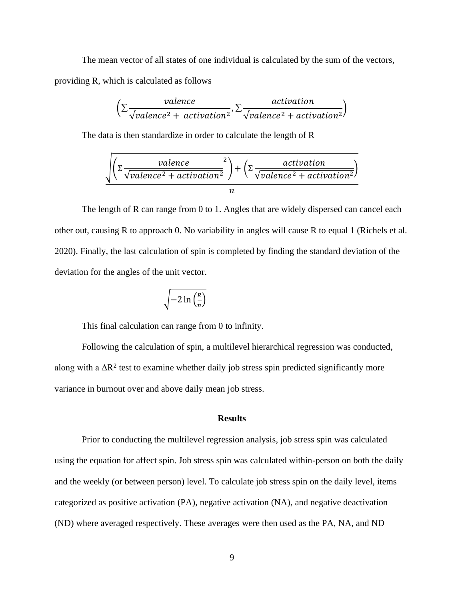The mean vector of all states of one individual is calculated by the sum of the vectors, providing R, which is calculated as follows

$$
\left(\sum \frac{valence}{\sqrt{valence^2 + activation^2}}, \sum \frac{activation}{\sqrt{valence^2 + activation^2}}\right)
$$

The data is then standardize in order to calculate the length of R

$$
\sqrt{\left(\Sigma \frac{valence}{\sqrt{valence^2 + activation^2}}\right) + \left(\Sigma \frac{activation}{\sqrt{valence^2 + activation^2}}\right)}
$$
  
n

The length of R can range from 0 to 1. Angles that are widely dispersed can cancel each other out, causing R to approach 0. No variability in angles will cause R to equal 1 (Richels et al. 2020). Finally, the last calculation of spin is completed by finding the standard deviation of the deviation for the angles of the unit vector.

$$
\sqrt{-2\ln\left(\frac{R}{n}\right)}
$$

This final calculation can range from 0 to infinity.

Following the calculation of spin, a multilevel hierarchical regression was conducted, along with a  $\Delta R^2$  test to examine whether daily job stress spin predicted significantly more variance in burnout over and above daily mean job stress.

# **Results**

<span id="page-17-0"></span>Prior to conducting the multilevel regression analysis, job stress spin was calculated using the equation for affect spin. Job stress spin was calculated within-person on both the daily and the weekly (or between person) level. To calculate job stress spin on the daily level, items categorized as positive activation (PA), negative activation (NA), and negative deactivation (ND) where averaged respectively. These averages were then used as the PA, NA, and ND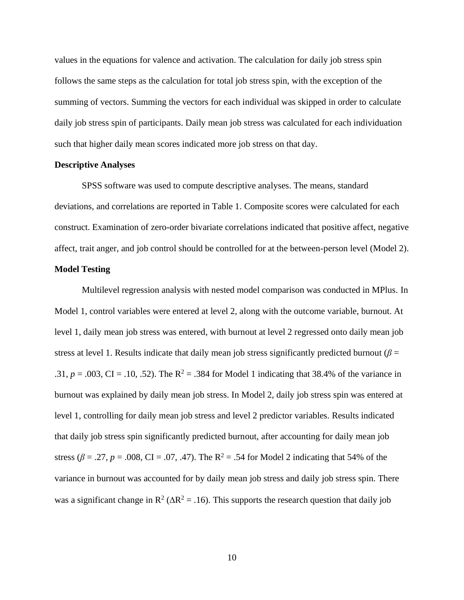values in the equations for valence and activation. The calculation for daily job stress spin follows the same steps as the calculation for total job stress spin, with the exception of the summing of vectors. Summing the vectors for each individual was skipped in order to calculate daily job stress spin of participants. Daily mean job stress was calculated for each individuation such that higher daily mean scores indicated more job stress on that day.

## **Descriptive Analyses**

SPSS software was used to compute descriptive analyses. The means, standard deviations, and correlations are reported in Table 1. Composite scores were calculated for each construct. Examination of zero-order bivariate correlations indicated that positive affect, negative affect, trait anger, and job control should be controlled for at the between-person level (Model 2).

# **Model Testing**

Multilevel regression analysis with nested model comparison was conducted in MPlus. In Model 1, control variables were entered at level 2, along with the outcome variable, burnout. At level 1, daily mean job stress was entered, with burnout at level 2 regressed onto daily mean job stress at level 1. Results indicate that daily mean job stress significantly predicted burnout ( $\beta$  = .31,  $p = .003$ , CI = .10, .52). The R<sup>2</sup> = .384 for Model 1 indicating that 38.4% of the variance in burnout was explained by daily mean job stress. In Model 2, daily job stress spin was entered at level 1, controlling for daily mean job stress and level 2 predictor variables. Results indicated that daily job stress spin significantly predicted burnout, after accounting for daily mean job stress ( $\beta$  = .27, *p* = .008, CI = .07, .47). The R<sup>2</sup> = .54 for Model 2 indicating that 54% of the variance in burnout was accounted for by daily mean job stress and daily job stress spin. There was a significant change in  $\mathbb{R}^2 (\Delta \mathbb{R}^2 = .16)$ . This supports the research question that daily job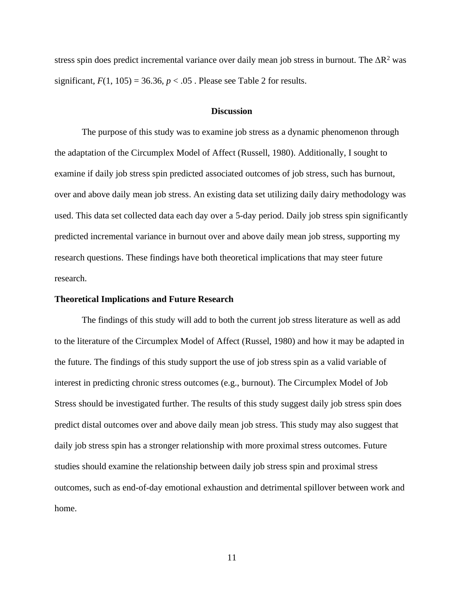stress spin does predict incremental variance over daily mean job stress in burnout. The  $\Delta R^2$  was significant,  $F(1, 105) = 36.36$ ,  $p < .05$ . Please see Table 2 for results.

### **Discussion**

<span id="page-19-0"></span>The purpose of this study was to examine job stress as a dynamic phenomenon through the adaptation of the Circumplex Model of Affect (Russell, 1980). Additionally, I sought to examine if daily job stress spin predicted associated outcomes of job stress, such has burnout, over and above daily mean job stress. An existing data set utilizing daily dairy methodology was used. This data set collected data each day over a 5-day period. Daily job stress spin significantly predicted incremental variance in burnout over and above daily mean job stress, supporting my research questions. These findings have both theoretical implications that may steer future research.

## **Theoretical Implications and Future Research**

The findings of this study will add to both the current job stress literature as well as add to the literature of the Circumplex Model of Affect (Russel, 1980) and how it may be adapted in the future. The findings of this study support the use of job stress spin as a valid variable of interest in predicting chronic stress outcomes (e.g., burnout). The Circumplex Model of Job Stress should be investigated further. The results of this study suggest daily job stress spin does predict distal outcomes over and above daily mean job stress. This study may also suggest that daily job stress spin has a stronger relationship with more proximal stress outcomes. Future studies should examine the relationship between daily job stress spin and proximal stress outcomes, such as end-of-day emotional exhaustion and detrimental spillover between work and home.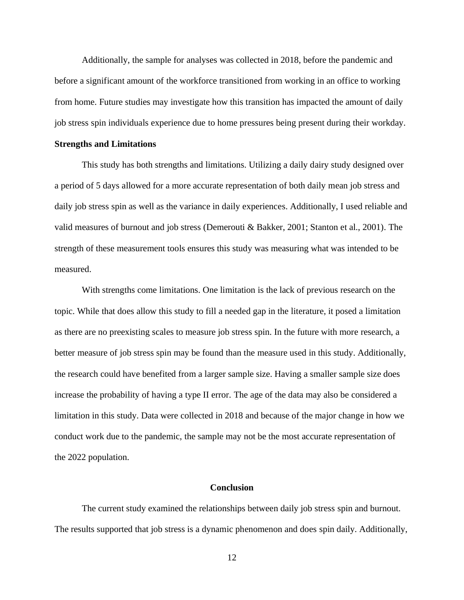Additionally, the sample for analyses was collected in 2018, before the pandemic and before a significant amount of the workforce transitioned from working in an office to working from home. Future studies may investigate how this transition has impacted the amount of daily job stress spin individuals experience due to home pressures being present during their workday.

#### **Strengths and Limitations**

This study has both strengths and limitations. Utilizing a daily dairy study designed over a period of 5 days allowed for a more accurate representation of both daily mean job stress and daily job stress spin as well as the variance in daily experiences. Additionally, I used reliable and valid measures of burnout and job stress (Demerouti & Bakker, 2001; Stanton et al., 2001). The strength of these measurement tools ensures this study was measuring what was intended to be measured.

With strengths come limitations. One limitation is the lack of previous research on the topic. While that does allow this study to fill a needed gap in the literature, it posed a limitation as there are no preexisting scales to measure job stress spin. In the future with more research, a better measure of job stress spin may be found than the measure used in this study. Additionally, the research could have benefited from a larger sample size. Having a smaller sample size does increase the probability of having a type II error. The age of the data may also be considered a limitation in this study. Data were collected in 2018 and because of the major change in how we conduct work due to the pandemic, the sample may not be the most accurate representation of the 2022 population.

# **Conclusion**

<span id="page-20-0"></span>The current study examined the relationships between daily job stress spin and burnout. The results supported that job stress is a dynamic phenomenon and does spin daily. Additionally,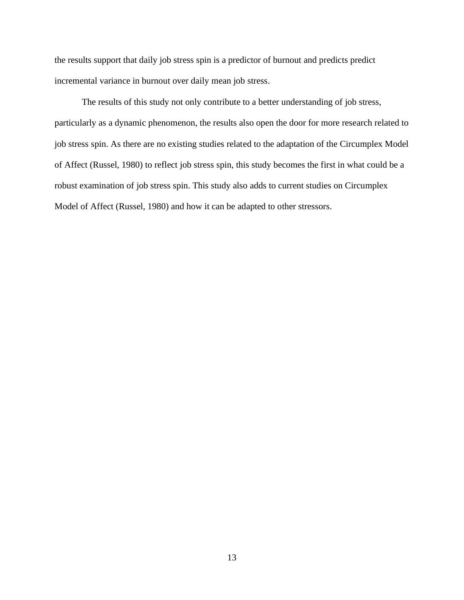the results support that daily job stress spin is a predictor of burnout and predicts predict incremental variance in burnout over daily mean job stress.

The results of this study not only contribute to a better understanding of job stress, particularly as a dynamic phenomenon, the results also open the door for more research related to job stress spin. As there are no existing studies related to the adaptation of the Circumplex Model of Affect (Russel, 1980) to reflect job stress spin, this study becomes the first in what could be a robust examination of job stress spin. This study also adds to current studies on Circumplex Model of Affect (Russel, 1980) and how it can be adapted to other stressors.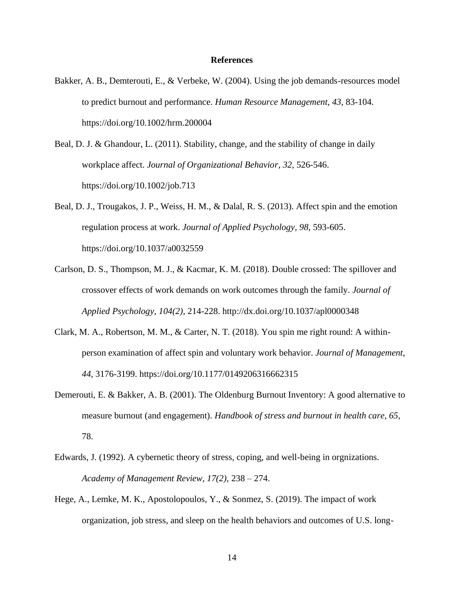## **References**

- <span id="page-22-0"></span>Bakker, A. B., Demterouti, E., & Verbeke, W. (2004). Using the job demands-resources model to predict burnout and performance. *Human Resource Management*, *43*, 83-104. https://doi.org/10.1002/hrm.200004
- Beal, D. J. & Ghandour, L. (2011). Stability, change, and the stability of change in daily workplace affect. *Journal of Organizational Behavior*, *32*, 526-546. https://doi.org/10.1002/job.713
- Beal, D. J., Trougakos, J. P., Weiss, H. M., & Dalal, R. S. (2013). Affect spin and the emotion regulation process at work. *Journal of Applied Psychology*, *98*, 593-605. https://doi.org/10.1037/a0032559
- Carlson, D. S., Thompson, M. J., & Kacmar, K. M. (2018). Double crossed: The spillover and crossover effects of work demands on work outcomes through the family. *Journal of Applied Psychology*, *104(2)*, 214-228. http://dx.doi.org/10.1037/apl0000348
- Clark, M. A., Robertson, M. M., & Carter, N. T. (2018). You spin me right round: A withinperson examination of affect spin and voluntary work behavior. *Journal of Management*, *44*, 3176-3199. https://doi.org/10.1177/0149206316662315
- Demerouti, E. & Bakker, A. B. (2001). The Oldenburg Burnout Inventory: A good alternative to measure burnout (and engagement). *Handbook of stress and burnout in health care, 65,*  78.
- Edwards, J. (1992). A cybernetic theory of stress, coping, and well-being in orgnizations. *Academy of Management Review, 17(2),* 238 – 274.
- Hege, A., Lemke, M. K., Apostolopoulos, Y., & Sonmez, S. (2019). The impact of work organization, job stress, and sleep on the health behaviors and outcomes of U.S. long-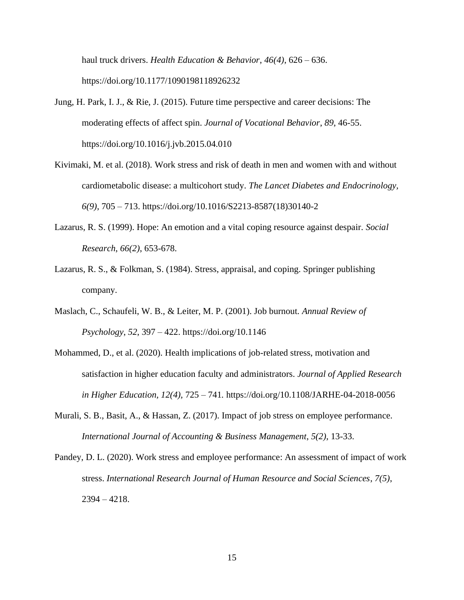haul truck drivers. *Health Education & Behavior*, *46(4)*, 626 – 636. https://doi.org/10.1177/1090198118926232

- Jung, H. Park, I. J., & Rie, J. (2015). Future time perspective and career decisions: The moderating effects of affect spin. *Journal of Vocational Behavior*, *89*, 46-55. https://doi.org/10.1016/j.jvb.2015.04.010
- Kivimaki, M. et al. (2018). Work stress and risk of death in men and women with and without cardiometabolic disease: a multicohort study. *The Lancet Diabetes and Endocrinology, 6(9)*, 705 – 713. https://doi.org/10.1016/S2213-8587(18)30140-2
- Lazarus, R. S. (1999). Hope: An emotion and a vital coping resource against despair. *Social Research*, *66(2)*, 653-678.
- Lazarus, R. S., & Folkman, S. (1984). Stress, appraisal, and coping. Springer publishing company.
- Maslach, C., Schaufeli, W. B., & Leiter, M. P. (2001). Job burnout. *Annual Review of Psychology*, *52*, 397 – 422. https://doi.org/10.1146
- Mohammed, D., et al. (2020). Health implications of job-related stress, motivation and satisfaction in higher education faculty and administrators. *Journal of Applied Research in Higher Education, 12(4),* 725 – 741*.* https://doi.org/10.1108/JARHE-04-2018-0056
- Murali, S. B., Basit, A., & Hassan, Z. (2017). Impact of job stress on employee performance. *International Journal of Accounting & Business Management*, *5(2)*, 13-33.
- Pandey, D. L. (2020). Work stress and employee performance: An assessment of impact of work stress. *International Research Journal of Human Resource and Social Sciences*, *7(5)*, 2394 – 4218.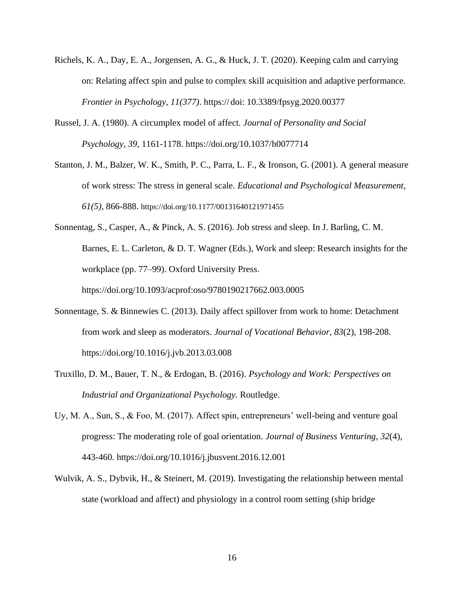- Richels, K. A., Day, E. A., Jorgensen, A. G., & Huck, J. T. (2020). Keeping calm and carrying on: Relating affect spin and pulse to complex skill acquisition and adaptive performance. *Frontier in Psychology*, *11(377)*. https:// doi: 10.3389/fpsyg.2020.00377
- Russel, J. A. (1980). A circumplex model of affect. *Journal of Personality and Social Psychology*, *39*, 1161-1178. https://doi.org/10.1037/h0077714
- Stanton, J. M., Balzer, W. K., Smith, P. C., Parra, L. F., & Ironson, G. (2001). A general measure of work stress: The stress in general scale. *Educational and Psychological Measurement*, *61(5)*, 866-888. https://doi.org/10.1177/00131640121971455
- Sonnentag, S., Casper, A., & Pinck, A. S. (2016). Job stress and sleep. In J. Barling, C. M. Barnes, E. L. Carleton, & D. T. Wagner (Eds.), Work and sleep: Research insights for the workplace (pp. 77–99). Oxford University Press. https://doi.org/10.1093/acprof:oso/9780190217662.003.0005
- Sonnentage, S. & Binnewies C. (2013). Daily affect spillover from work to home: Detachment from work and sleep as moderators. *Journal of Vocational Behavior*, *83*(2), 198-208. https://doi.org/10.1016/j.jvb.2013.03.008
- Truxillo, D. M., Bauer, T. N., & Erdogan, B. (2016). *Psychology and Work: Perspectives on Industrial and Organizational Psychology.* Routledge.
- Uy, M. A., Sun, S., & Foo, M. (2017). Affect spin, entrepreneurs' well-being and venture goal progress: The moderating role of goal orientation. *Journal of Business Venturing*, *32*(4), 443-460. https://doi.org/10.1016/j.jbusvent.2016.12.001
- Wulvik, A. S., Dybvik, H., & Steinert, M. (2019). Investigating the relationship between mental state (workload and affect) and physiology in a control room setting (ship bridge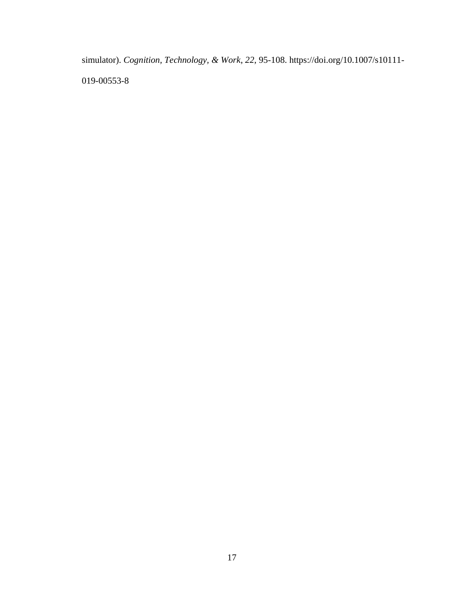simulator). *Cognition, Technology, & Work*, *22*, 95-108. https://doi.org/10.1007/s10111- 019-00553-8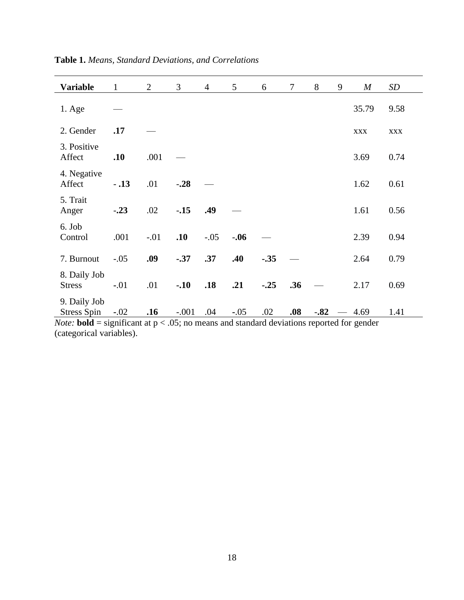| <b>Variable</b>                    | $\mathbf{1}$ | $\overline{2}$ | 3       | $\overline{4}$ | 5      | 6      | $\tau$ | 8      | 9 | $\boldsymbol{M}$ | SD         |
|------------------------------------|--------------|----------------|---------|----------------|--------|--------|--------|--------|---|------------------|------------|
| $1. \text{Age}$                    |              |                |         |                |        |        |        |        |   | 35.79            | 9.58       |
| 2. Gender                          | .17          |                |         |                |        |        |        |        |   | <b>XXX</b>       | <b>XXX</b> |
| 3. Positive<br>Affect              | .10          | .001           |         |                |        |        |        |        |   | 3.69             | 0.74       |
| 4. Negative<br>Affect              | $-.13$       | .01            | $-.28$  |                |        |        |        |        |   | 1.62             | 0.61       |
| 5. Trait<br>Anger                  | $-.23$       | .02            | $-.15$  | .49            |        |        |        |        |   | 1.61             | 0.56       |
| 6. Job<br>Control                  | .001         | $-.01$         | .10     | $-.05$         | $-.06$ |        |        |        |   | 2.39             | 0.94       |
| 7. Burnout                         | $-.05$       | .09            | $-.37$  | .37            | .40    | $-.35$ |        |        |   | 2.64             | 0.79       |
| 8. Daily Job<br><b>Stress</b>      | $-.01$       | .01            | $-.10$  | .18            | .21    | $-.25$ | .36    |        |   | 2.17             | 0.69       |
| 9. Daily Job<br><b>Stress Spin</b> | $-.02$       | .16            | $-.001$ | .04            | $-.05$ | .02    | .08    | $-.82$ |   | 4.69             | 1.41       |

**Table 1.** *Means, Standard Deviations, and Correlations*

*Note:* **bold** = significant at  $p < .05$ ; no means and standard deviations reported for gender (categorical variables).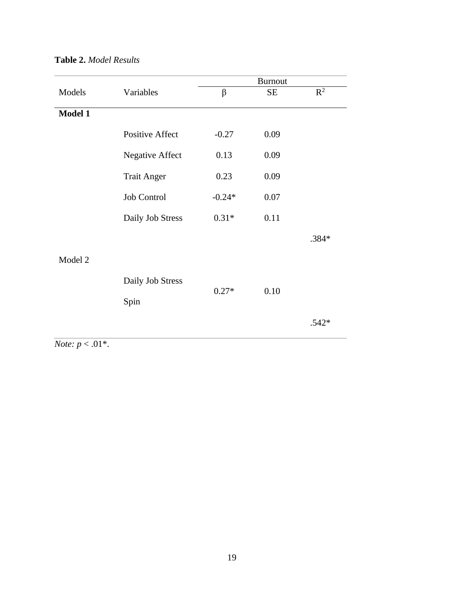| Models  |                        |          | <b>Burnout</b> |                |
|---------|------------------------|----------|----------------|----------------|
|         | Variables              | $\beta$  | <b>SE</b>      | $\mathbb{R}^2$ |
| Model 1 |                        |          |                |                |
|         | <b>Positive Affect</b> | $-0.27$  | 0.09           |                |
|         | <b>Negative Affect</b> | 0.13     | 0.09           |                |
|         | <b>Trait Anger</b>     | 0.23     | 0.09           |                |
|         | Job Control            | $-0.24*$ | 0.07           |                |
|         | Daily Job Stress       | $0.31*$  | 0.11           |                |
|         |                        |          |                | .384*          |
| Model 2 |                        |          |                |                |
|         | Daily Job Stress       |          |                |                |
|         | Spin                   | $0.27*$  | 0.10           |                |
|         |                        |          |                | $.542*$        |

# **Table 2.** *Model Results*

*Note:*  $p < .01$ <sup>\*</sup>.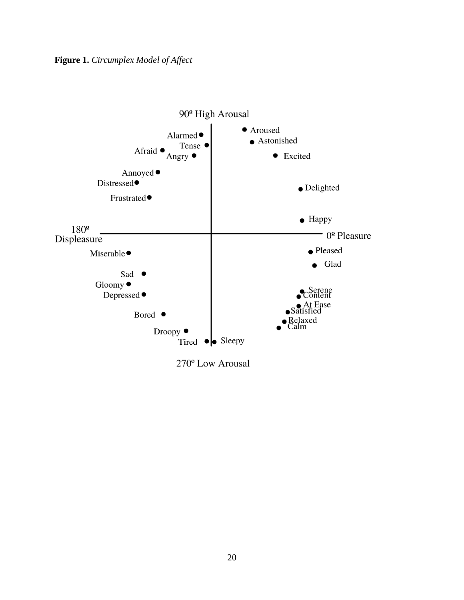

270<sup>°</sup> Low Arousal